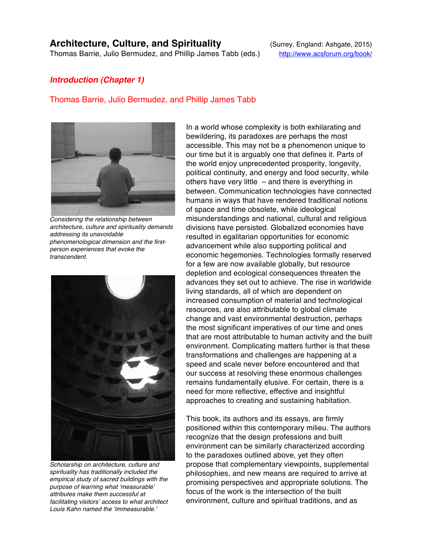## **Architecture, Culture, and Spirituality** (Surrey, England: Ashgate, 2015)

Thomas Barrie, Julio Bermudez, and Phillip James Tabb (eds.) http://www.acsforum.org/book/

## *Introduction (Chapter 1)*

## Thomas Barrie, Julio Bermudez, and Phillip James Tabb



*Considering the relationship between architecture, culture and spirituality demands addressing its unavoidable phenomenological dimension and the firstperson experiences that evoke the transcendent.*



*Scholarship on architecture, culture and spirituality has traditionally included the empirical study of sacred buildings with the purpose of learning what* ʻ*measurable*' *attributes make them successful at facilitating visitors*' *access to what architect Louis Kahn named the* ʻ*immeasurable.*'

In a world whose complexity is both exhilarating and bewildering, its paradoxes are perhaps the most accessible. This may not be a phenomenon unique to our time but it is arguably one that defines it. Parts of the world enjoy unprecedented prosperity, longevity, political continuity, and energy and food security, while others have very little – and there is everything in between. Communication technologies have connected humans in ways that have rendered traditional notions of space and time obsolete, while ideological misunderstandings and national, cultural and religious divisions have persisted. Globalized economies have resulted in egalitarian opportunities for economic advancement while also supporting political and economic hegemonies. Technologies formally reserved for a few are now available globally, but resource depletion and ecological consequences threaten the advances they set out to achieve. The rise in worldwide living standards, all of which are dependent on increased consumption of material and technological resources, are also attributable to global climate change and vast environmental destruction, perhaps the most significant imperatives of our time and ones that are most attributable to human activity and the built environment. Complicating matters further is that these transformations and challenges are happening at a speed and scale never before encountered and that our success at resolving these enormous challenges remains fundamentally elusive. For certain, there is a need for more reflective, effective and insightful approaches to creating and sustaining habitation.

This book, its authors and its essays, are firmly positioned within this contemporary milieu. The authors recognize that the design professions and built environment can be similarly characterized according to the paradoxes outlined above, yet they often propose that complementary viewpoints, supplemental philosophies, and new means are required to arrive at promising perspectives and appropriate solutions. The focus of the work is the intersection of the built environment, culture and spiritual traditions, and as